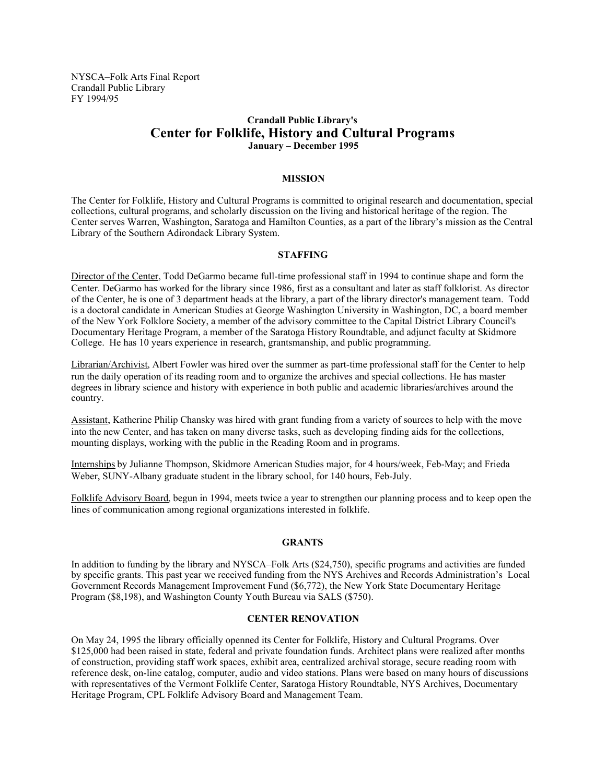NYSCA–Folk Arts Final Report Crandall Public Library FY 1994/95

# **Crandall Public Library's Center for Folklife, History and Cultural Programs January – December 1995**

## **MISSION**

The Center for Folklife, History and Cultural Programs is committed to original research and documentation, special collections, cultural programs, and scholarly discussion on the living and historical heritage of the region. The Center serves Warren, Washington, Saratoga and Hamilton Counties, as a part of the library's mission as the Central Library of the Southern Adirondack Library System.

## **STAFFING**

Director of the Center, Todd DeGarmo became full-time professional staff in 1994 to continue shape and form the Center. DeGarmo has worked for the library since 1986, first as a consultant and later as staff folklorist. As director of the Center, he is one of 3 department heads at the library, a part of the library director's management team. Todd is a doctoral candidate in American Studies at George Washington University in Washington, DC, a board member of the New York Folklore Society, a member of the advisory committee to the Capital District Library Council's Documentary Heritage Program, a member of the Saratoga History Roundtable, and adjunct faculty at Skidmore College. He has 10 years experience in research, grantsmanship, and public programming.

Librarian/Archivist, Albert Fowler was hired over the summer as part-time professional staff for the Center to help run the daily operation of its reading room and to organize the archives and special collections. He has master degrees in library science and history with experience in both public and academic libraries/archives around the country.

Assistant, Katherine Philip Chansky was hired with grant funding from a variety of sources to help with the move into the new Center, and has taken on many diverse tasks, such as developing finding aids for the collections, mounting displays, working with the public in the Reading Room and in programs.

Internships by Julianne Thompson, Skidmore American Studies major, for 4 hours/week, Feb-May; and Frieda Weber, SUNY-Albany graduate student in the library school, for 140 hours, Feb-July.

Folklife Advisory Board, begun in 1994, meets twice a year to strengthen our planning process and to keep open the lines of communication among regional organizations interested in folklife.

## **GRANTS**

In addition to funding by the library and NYSCA–Folk Arts (\$24,750), specific programs and activities are funded by specific grants. This past year we received funding from the NYS Archives and Records Administration's Local Government Records Management Improvement Fund (\$6,772), the New York State Documentary Heritage Program (\$8,198), and Washington County Youth Bureau via SALS (\$750).

# **CENTER RENOVATION**

On May 24, 1995 the library officially openned its Center for Folklife, History and Cultural Programs. Over \$125,000 had been raised in state, federal and private foundation funds. Architect plans were realized after months of construction, providing staff work spaces, exhibit area, centralized archival storage, secure reading room with reference desk, on-line catalog, computer, audio and video stations. Plans were based on many hours of discussions with representatives of the Vermont Folklife Center, Saratoga History Roundtable, NYS Archives, Documentary Heritage Program, CPL Folklife Advisory Board and Management Team.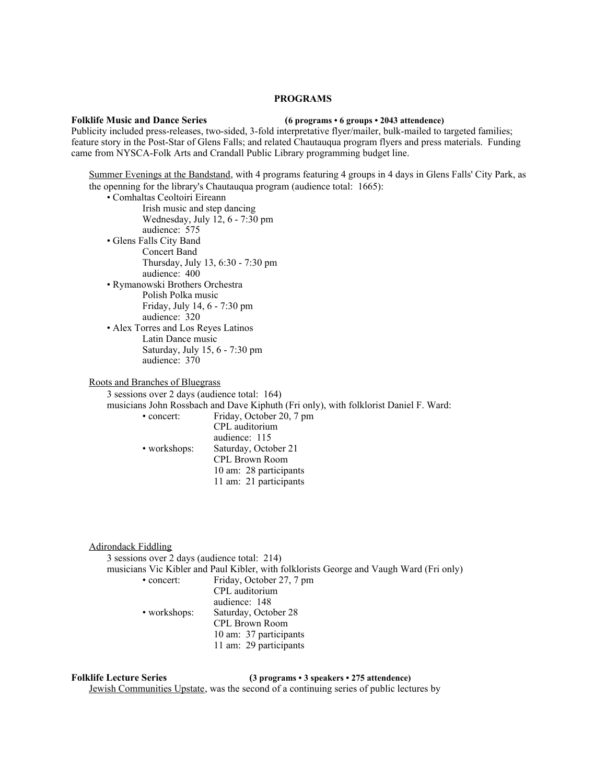## **PROGRAMS**

### **Folklife Music and Dance Series (6 programs • 6 groups • 2043 attendence)**

Publicity included press-releases, two-sided, 3-fold interpretative flyer/mailer, bulk-mailed to targeted families; feature story in the Post-Star of Glens Falls; and related Chautauqua program flyers and press materials. Funding came from NYSCA-Folk Arts and Crandall Public Library programming budget line.

Summer Evenings at the Bandstand, with 4 programs featuring 4 groups in 4 days in Glens Falls' City Park, as the openning for the library's Chautauqua program (audience total: 1665):

- Comhaltas Ceoltoiri Eireann
	- Irish music and step dancing Wednesday, July 12, 6 - 7:30 pm audience: 575
- Glens Falls City Band Concert Band Thursday, July 13, 6:30 - 7:30 pm audience: 400
- Rymanowski Brothers Orchestra Polish Polka music Friday, July 14, 6 - 7:30 pm audience: 320
- Alex Torres and Los Reyes Latinos Latin Dance music Saturday, July 15, 6 - 7:30 pm audience: 370

Roots and Branches of Bluegrass

3 sessions over 2 days (audience total: 164)

musicians John Rossbach and Dave Kiphuth (Fri only), with folklorist Daniel F. Ward:

• concert: Friday, October 20, 7 pm

CPL auditorium audience: 115 • workshops: Saturday, October 21 CPL Brown Room 10 am: 28 participants 11 am: 21 participants

Adirondack Fiddling

3 sessions over 2 days (audience total: 214)

- musicians Vic Kibler and Paul Kibler, with folklorists George and Vaugh Ward (Fri only)
	- concert: Friday, October 27, 7 pm CPL auditorium audience: 148 • workshops: Saturday, October 28 CPL Brown Room 10 am: 37 participants 11 am: 29 participants

**Folklife Lecture Series (3 programs • 3 speakers • 275 attendence)**

Jewish Communities Upstate, was the second of a continuing series of public lectures by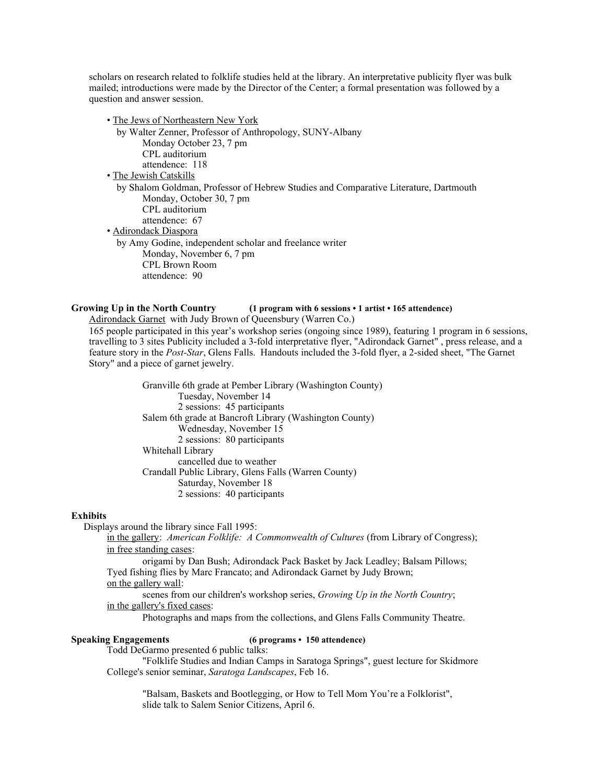scholars on research related to folklife studies held at the library. An interpretative publicity flyer was bulk mailed; introductions were made by the Director of the Center; a formal presentation was followed by a question and answer session.

• The Jews of Northeastern New York by Walter Zenner, Professor of Anthropology, SUNY-Albany Monday October 23, 7 pm CPL auditorium attendence: 118 • The Jewish Catskills by Shalom Goldman, Professor of Hebrew Studies and Comparative Literature, Dartmouth Monday, October 30, 7 pm CPL auditorium attendence: 67 • Adirondack Diaspora by Amy Godine, independent scholar and freelance writer Monday, November 6, 7 pm CPL Brown Room attendence: 90

# **Growing Up in the North Country (1 program with 6 sessions • 1 artist • 165 attendence)**

Adirondack Garnet with Judy Brown of Queensbury (Warren Co.) 165 people participated in this year's workshop series (ongoing since 1989), featuring 1 program in 6 sessions, travelling to 3 sites Publicity included a 3-fold interpretative flyer, "Adirondack Garnet" , press release, and a feature story in the *Post-Star*, Glens Falls. Handouts included the 3-fold flyer, a 2-sided sheet, "The Garnet Story" and a piece of garnet jewelry.

> Granville 6th grade at Pember Library (Washington County) Tuesday, November 14 2 sessions: 45 participants Salem 6th grade at Bancroft Library (Washington County) Wednesday, November 15 2 sessions: 80 participants Whitehall Library cancelled due to weather Crandall Public Library, Glens Falls (Warren County) Saturday, November 18 2 sessions: 40 participants

## **Exhibits**

Displays around the library since Fall 1995:

in the gallery: *American Folklife: A Commonwealth of Cultures* (from Library of Congress); in free standing cases:

origami by Dan Bush; Adirondack Pack Basket by Jack Leadley; Balsam Pillows; Tyed fishing flies by Marc Francato; and Adirondack Garnet by Judy Brown; on the gallery wall:

scenes from our children's workshop series, *Growing Up in the North Country*; in the gallery's fixed cases :

Photographs and maps from the collections, and Glens Falls Community Theatre.

# **Speaking Engagements (6 programs • 150 attendence)**

Todd DeGarmo presented 6 public talks:

"Folklife Studies and Indian Camps in Saratoga Springs", guest lecture for Skidmore College's senior seminar, *Saratoga Landscapes*, Feb 16.

"Balsam, Baskets and Bootlegging, or How to Tell Mom You're a Folklorist", slide talk to Salem Senior Citizens, April 6.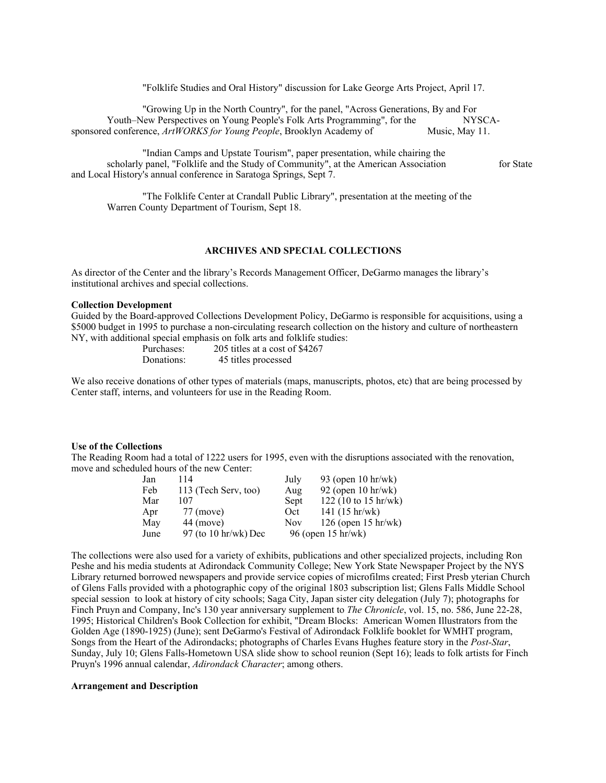"Folklife Studies and Oral History" discussion for Lake George Arts Project, April 17.

"Growing Up in the North Country", for the panel, "Across Generations, By and For Youth–New Perspectives on Young People's Folk Arts Programming", for the NYSCA-<br>d conference, ArtWORKS for Young People, Brooklyn Academy of Music, May 11. sponsored conference, ArtWORKS for Young People, Brooklyn Academy of

"Indian Camps and Upstate Tourism", paper presentation, while chairing the scholarly panel, "Folklife and the Study of Community", at the American Association for State and Local History's annual conference in Saratoga Springs, Sept 7.

"The Folklife Center at Crandall Public Library", presentation at the meeting of the Warren County Department of Tourism, Sept 18.

## **ARCHIVES AND SPECIAL COLLECTIONS**

As director of the Center and the library's Records Management Officer, DeGarmo manages the library's institutional archives and special collections.

## **Collection Development**

Guided by the Board-approved Collections Development Policy, DeGarmo is responsible for acquisitions, using a \$5000 budget in 1995 to purchase a non-circulating research collection on the history and culture of northeastern NY, with additional special emphasis on folk arts and folklife studies:

> Purchases: 205 titles at a cost of \$4267<br>Donations: 45 titles processed 45 titles processed

We also receive donations of other types of materials (maps, manuscripts, photos, etc) that are being processed by Center staff, interns, and volunteers for use in the Reading Room.

#### **Use of the Collections**

The Reading Room had a total of 1222 users for 1995, even with the disruptions associated with the renovation, move and scheduled hours of the new Center:

| Jan  | 114                             | July               | 93 (open 10 hr/wk)            |
|------|---------------------------------|--------------------|-------------------------------|
| Feb  | 113 (Tech Serv, too)            | Aug                | 92 (open $10 \text{ hr/wk}$ ) |
| Mar  | 107                             | Sept               | 122 (10 to 15 hr/wk)          |
| Apr  | 77 (move)                       | Oct                | 141 $(15 hr/wk)$              |
| May  | 44 (move)                       | <b>Nov</b>         | $126$ (open 15 hr/wk)         |
| June | 97 (to $10 \text{ hr/wk}$ ) Dec | 96 (open 15 hr/wk) |                               |

The collections were also used for a variety of exhibits, publications and other specialized projects, including Ron Peshe and his media students at Adirondack Community College; New York State Newspaper Project by the NYS Library returned borrowed newspapers and provide service copies of microfilms created; First Presb yterian Church of Glens Falls provided with a photographic copy of the original 1803 subscription list; Glens Falls Middle School special session to look at history of city schools; Saga City, Japan sister city delegation (July 7); photographs for Finch Pruyn and Company, Inc's 130 year anniversary supplement to *The Chronicle*, vol. 15, no. 586, June 22-28, 1995; Historical Children's Book Collection for exhibit, "Dream Blocks: American Women Illustrators from the Golden Age (1890-1925) (June); sent DeGarmo's Festival of Adirondack Folklife booklet for WMHT program, Songs from the Heart of the Adirondacks; photographs of Charles Evans Hughes feature story in the *Post-Star*, Sunday, July 10; Glens Falls-Hometown USA slide show to school reunion (Sept 16); leads to folk artists for Finch Pruyn's 1996 annual calendar, *Adirondack Character*; among others.

## **Arrangement and Description**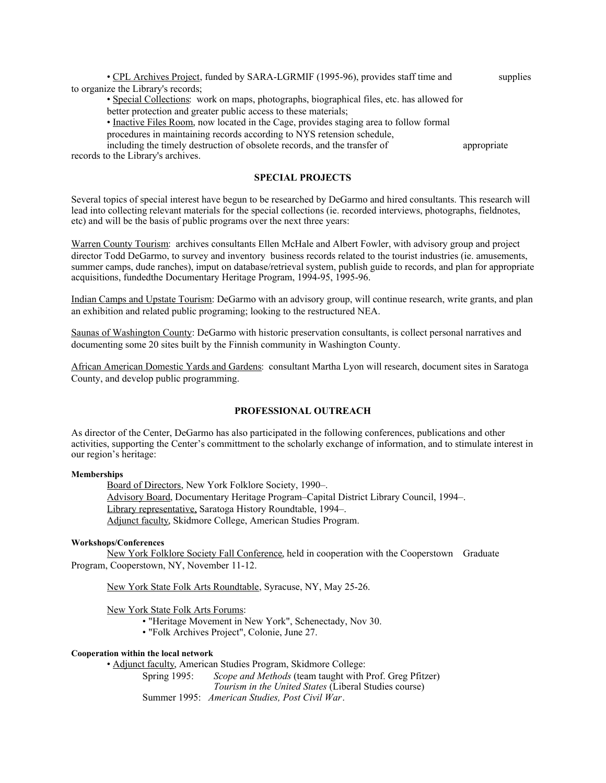• CPL Archives Project, funded by SARA-LGRMIF (1995-96), provides staff time and supplies to organize the Library's records;

• Special Collections: work on maps, photographs, biographical files, etc. has allowed for

better protection and greater public access to these materials;

• Inactive Files Room, now located in the Cage, provides staging area to follow formal procedures in maintaining records according to NYS retension schedule,

including the timely destruction of obsolete records, and the transfer of appropriate records to the Library's archives.

# **SPECIAL PROJECTS**

Several topics of special interest have begun to be researched by DeGarmo and hired consultants. This research will lead into collecting relevant materials for the special collections (ie. recorded interviews, photographs, fieldnotes, etc) and will be the basis of public programs over the next three years:

Warren County Tourism: archives consultants Ellen McHale and Albert Fowler, with advisory group and project director Todd DeGarmo, to survey and inventory business records related to the tourist industries (ie. amusements, summer camps, dude ranches), imput on database/retrieval system, publish guide to records, and plan for appropriate acquisitions, fundedthe Documentary Heritage Program, 1994-95, 1995-96.

Indian Camps and Upstate Tourism: DeGarmo with an advisory group, will continue research, write grants, and plan an exhibition and related public programing; looking to the restructured NEA.

Saunas of Washington County: DeGarmo with historic preservation consultants, is collect personal narratives and documenting some 20 sites built by the Finnish community in Washington County.

African American Domestic Yards and Gardens: consultant Martha Lyon will research, document sites in Saratoga County, and develop public programming.

# **PROFESSIONAL OUTREACH**

As director of the Center, DeGarmo has also participated in the following conferences, publications and other activities, supporting the Center's committment to the scholarly exchange of information, and to stimulate interest in our region's heritage:

## **Memberships**

Board of Directors, New York Folklore Society, 1990–. Advisory Board, Documentary Heritage Program–Capital District Library Council, 1994–. Library representative, Saratoga History Roundtable, 1994–. Adjunct faculty, Skidmore College, American Studies Program.

## **Workshops/Conferences**

New York Folklore Society Fall Conference, held in cooperation with the Cooperstown Graduate Program, Cooperstown, NY, November 11-12.

New York State Folk Arts Roundtable, Syracuse, NY, May 25-26.

New York State Folk Arts Forums:

- "Heritage Movement in New York", Schenectady, Nov 30.
- "Folk Archives Project", Colonie, June 27.

#### **Cooperation within the local network**

• Adjunct faculty, American Studies Program, Skidmore College:

Spring 1995: *Scope and Methods* (team taught with Prof. Greg Pfitzer) *Tourism in the United States* (Liberal Studies course) Summer 1995: *American Studies, Post Civil War*.